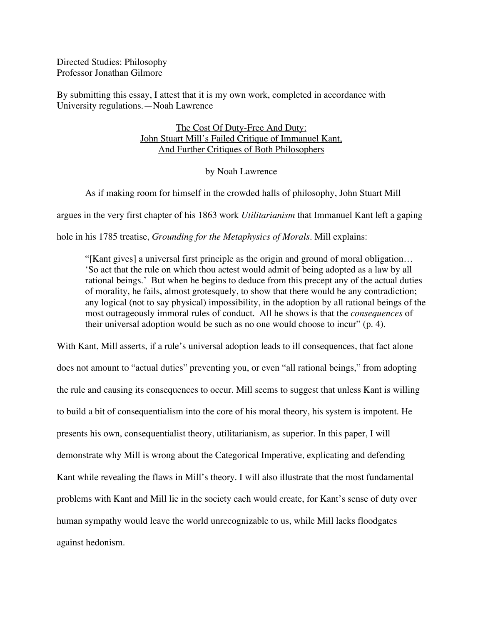Directed Studies: Philosophy Professor Jonathan Gilmore

By submitting this essay, I attest that it is my own work, completed in accordance with University regulations.—Noah Lawrence

## The Cost Of Duty-Free And Duty: John Stuart Mill's Failed Critique of Immanuel Kant, And Further Critiques of Both Philosophers

## by Noah Lawrence

As if making room for himself in the crowded halls of philosophy, John Stuart Mill

argues in the very first chapter of his 1863 work *Utilitarianism* that Immanuel Kant left a gaping

hole in his 1785 treatise, *Grounding for the Metaphysics of Morals*. Mill explains:

"[Kant gives] a universal first principle as the origin and ground of moral obligation… 'So act that the rule on which thou actest would admit of being adopted as a law by all rational beings.' But when he begins to deduce from this precept any of the actual duties of morality, he fails, almost grotesquely, to show that there would be any contradiction; any logical (not to say physical) impossibility, in the adoption by all rational beings of the most outrageously immoral rules of conduct. All he shows is that the *consequences* of their universal adoption would be such as no one would choose to incur" (p. 4).

With Kant, Mill asserts, if a rule's universal adoption leads to ill consequences, that fact alone does not amount to "actual duties" preventing you, or even "all rational beings," from adopting the rule and causing its consequences to occur. Mill seems to suggest that unless Kant is willing to build a bit of consequentialism into the core of his moral theory, his system is impotent. He presents his own, consequentialist theory, utilitarianism, as superior. In this paper, I will demonstrate why Mill is wrong about the Categorical Imperative, explicating and defending Kant while revealing the flaws in Mill's theory. I will also illustrate that the most fundamental problems with Kant and Mill lie in the society each would create, for Kant's sense of duty over human sympathy would leave the world unrecognizable to us, while Mill lacks floodgates against hedonism.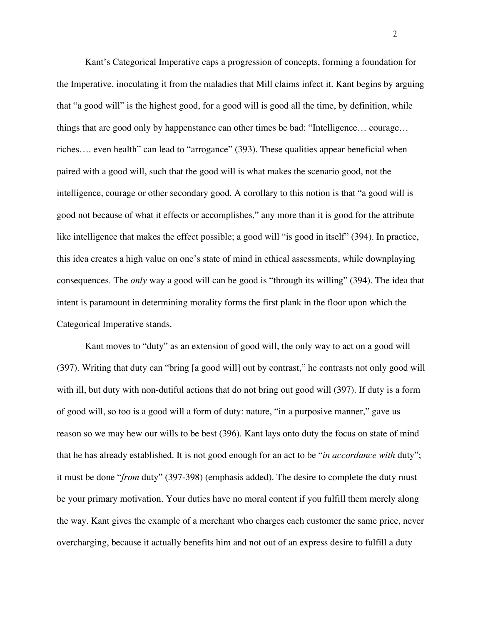Kant's Categorical Imperative caps a progression of concepts, forming a foundation for the Imperative, inoculating it from the maladies that Mill claims infect it. Kant begins by arguing that "a good will" is the highest good, for a good will is good all the time, by definition, while things that are good only by happenstance can other times be bad: "Intelligence… courage… riches…. even health" can lead to "arrogance" (393). These qualities appear beneficial when paired with a good will, such that the good will is what makes the scenario good, not the intelligence, courage or other secondary good. A corollary to this notion is that "a good will is good not because of what it effects or accomplishes," any more than it is good for the attribute like intelligence that makes the effect possible; a good will "is good in itself" (394). In practice, this idea creates a high value on one's state of mind in ethical assessments, while downplaying consequences. The *only* way a good will can be good is "through its willing" (394). The idea that intent is paramount in determining morality forms the first plank in the floor upon which the Categorical Imperative stands.

Kant moves to "duty" as an extension of good will, the only way to act on a good will (397). Writing that duty can "bring [a good will] out by contrast," he contrasts not only good will with ill, but duty with non-dutiful actions that do not bring out good will (397). If duty is a form of good will, so too is a good will a form of duty: nature, "in a purposive manner," gave us reason so we may hew our wills to be best (396). Kant lays onto duty the focus on state of mind that he has already established. It is not good enough for an act to be "*in accordance with* duty"; it must be done "*from* duty" (397-398) (emphasis added). The desire to complete the duty must be your primary motivation. Your duties have no moral content if you fulfill them merely along the way. Kant gives the example of a merchant who charges each customer the same price, never overcharging, because it actually benefits him and not out of an express desire to fulfill a duty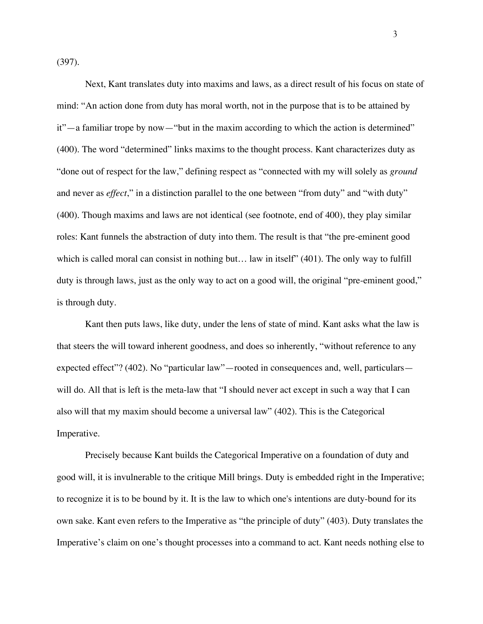(397).

Next, Kant translates duty into maxims and laws, as a direct result of his focus on state of mind: "An action done from duty has moral worth, not in the purpose that is to be attained by it"—a familiar trope by now—"but in the maxim according to which the action is determined" (400). The word "determined" links maxims to the thought process. Kant characterizes duty as "done out of respect for the law," defining respect as "connected with my will solely as *ground* and never as *effect*," in a distinction parallel to the one between "from duty" and "with duty" (400). Though maxims and laws are not identical (see footnote, end of 400), they play similar roles: Kant funnels the abstraction of duty into them. The result is that "the pre-eminent good which is called moral can consist in nothing but... law in itself" (401). The only way to fulfill duty is through laws, just as the only way to act on a good will, the original "pre-eminent good," is through duty.

Kant then puts laws, like duty, under the lens of state of mind. Kant asks what the law is that steers the will toward inherent goodness, and does so inherently, "without reference to any expected effect"? (402). No "particular law"—rooted in consequences and, well, particulars will do. All that is left is the meta-law that "I should never act except in such a way that I can also will that my maxim should become a universal law" (402). This is the Categorical Imperative.

Precisely because Kant builds the Categorical Imperative on a foundation of duty and good will, it is invulnerable to the critique Mill brings. Duty is embedded right in the Imperative; to recognize it is to be bound by it. It is the law to which one's intentions are duty-bound for its own sake. Kant even refers to the Imperative as "the principle of duty" (403). Duty translates the Imperative's claim on one's thought processes into a command to act. Kant needs nothing else to

3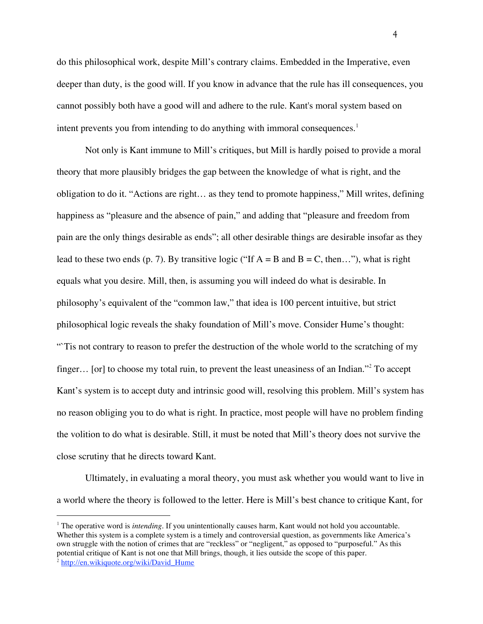do this philosophical work, despite Mill's contrary claims. Embedded in the Imperative, even deeper than duty, is the good will. If you know in advance that the rule has ill consequences, you cannot possibly both have a good will and adhere to the rule. Kant's moral system based on intent prevents you from intending to do anything with immoral consequences. 1

Not only is Kant immune to Mill's critiques, but Mill is hardly poised to provide a moral theory that more plausibly bridges the gap between the knowledge of what is right, and the obligation to do it. "Actions are right… as they tend to promote happiness," Mill writes, defining happiness as "pleasure and the absence of pain," and adding that "pleasure and freedom from pain are the only things desirable as ends"; all other desirable things are desirable insofar as they lead to these two ends (p. 7). By transitive logic ("If  $A = B$  and  $B = C$ , then..."), what is right equals what you desire. Mill, then, is assuming you will indeed do what is desirable. In philosophy's equivalent of the "common law," that idea is 100 percent intuitive, but strict philosophical logic reveals the shaky foundation of Mill's move. Consider Hume's thought: "Tis not contrary to reason to prefer the destruction of the whole world to the scratching of my finger... [or] to choose my total ruin, to prevent the least uneasiness of an Indian."<sup>2</sup> To accept Kant's system is to accept duty and intrinsic good will, resolving this problem. Mill's system has no reason obliging you to do what is right. In practice, most people will have no problem finding the volition to do what is desirable. Still, it must be noted that Mill's theory does not survive the close scrutiny that he directs toward Kant.

Ultimately, in evaluating a moral theory, you must ask whether you would want to live in a world where the theory is followed to the letter. Here is Mill's best chance to critique Kant, for

<sup>&</sup>lt;sup>1</sup> The operative word is *intending*. If you unintentionally causes harm, Kant would not hold you accountable. Whether this system is a complete system is a timely and controversial question, as governments like America's own struggle with the notion of crimes that are "reckless" or "negligent," as opposed to "purposeful." As this potential critique of Kant is not one that Mill brings, though, it lies outside the scope of this paper.

<sup>&</sup>lt;sup>2</sup> http://en.wikiquote.org/wiki/David Hume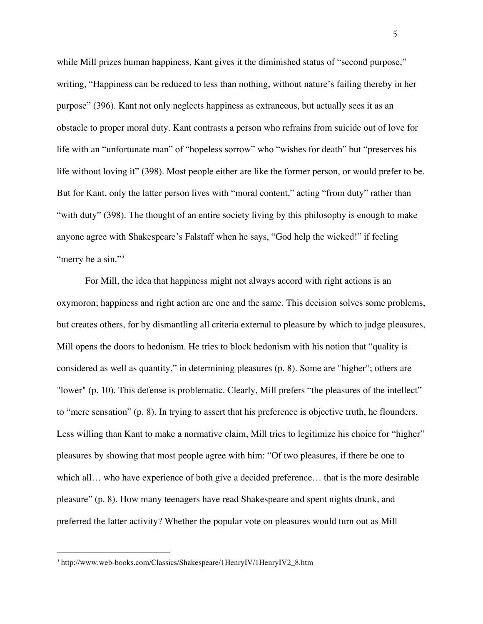while Mill prizes human happiness, Kant gives it the diminished status of "second purpose," writing, "Happiness can be reduced to less than nothing, without nature's failing thereby in her purpose" (396). Kant not only neglects happiness as extraneous, but actually sees it as an obstacle to proper moral duty. Kant contrasts a person who refrains from suicide out of love for life with an "unfortunate man" of "hopeless sorrow" who "wishes for death" but "preserves his life without loving it" (398). Most people either are like the former person, or would prefer to be. But for Kant, only the latter person lives with "moral content," acting "from duty" rather than "with duty" (398). The thought of an entire society living by this philosophy is enough to make anyone agree with Shakespeare's Falstaff when he says, "God help the wicked!" if feeling "merry be a sin."<sup>3</sup>

For Mill, the idea that happiness might not always accord with right actions is an oxymoron; happiness and right action are one and the same. This decision solves some problems, but creates others, for by dismantling all criteria external to pleasure by which to judge pleasures, Mill opens the doors to hedonism. He tries to block hedonism with his notion that "quality is considered as well as quantity," in determining pleasures (p. 8). Some are "higher"; others are "lower" (p. 10). This defense is problematic. Clearly, Mill prefers "the pleasures of the intellect" to "mere sensation" (p. 8). In trying to assert that his preference is objective truth, he flounders. Less willing than Kant to make a normative claim, Mill tries to legitimize his choice for "higher" pleasures by showing that most people agree with him: "Of two pleasures, if there be one to which all… who have experience of both give a decided preference… that is the more desirable pleasure" (p. 8). How many teenagers have read Shakespeare and spent nights drunk, and preferred the latter activity? Whether the popular vote on pleasures would turn out as Mill

 <sup>3</sup> http://www.web-books.com/Classics/Shakespeare/1HenryIV/1HenryIV2\_8.htm